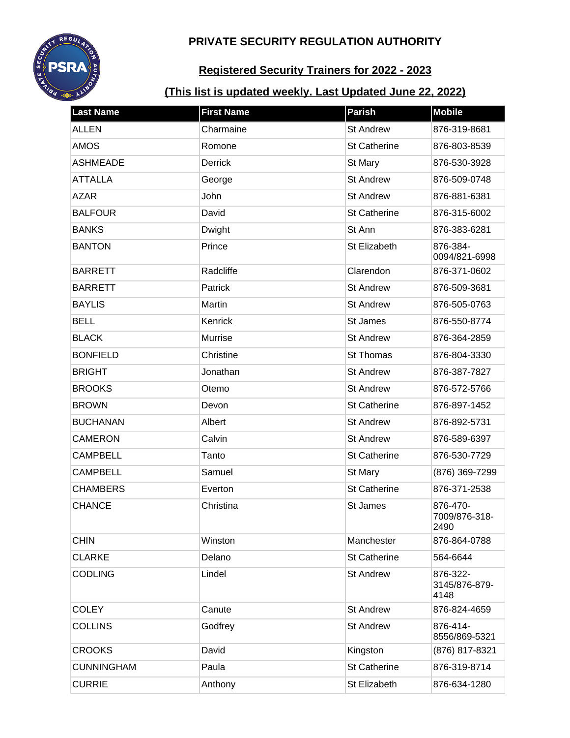

# **Registered Security Trainers for 2022 - 2023**

| <b>Last Name</b>  | <b>First Name</b> | <b>Parish</b>       | <b>Mobile</b>                     |
|-------------------|-------------------|---------------------|-----------------------------------|
| <b>ALLEN</b>      | Charmaine         | <b>St Andrew</b>    | 876-319-8681                      |
| <b>AMOS</b>       | Romone            | <b>St Catherine</b> | 876-803-8539                      |
| <b>ASHMEADE</b>   | <b>Derrick</b>    | St Mary             | 876-530-3928                      |
| <b>ATTALLA</b>    | George            | <b>St Andrew</b>    | 876-509-0748                      |
| <b>AZAR</b>       | John              | <b>St Andrew</b>    | 876-881-6381                      |
| <b>BALFOUR</b>    | David             | <b>St Catherine</b> | 876-315-6002                      |
| <b>BANKS</b>      | Dwight            | St Ann              | 876-383-6281                      |
| <b>BANTON</b>     | Prince            | St Elizabeth        | 876-384-<br>0094/821-6998         |
| <b>BARRETT</b>    | Radcliffe         | Clarendon           | 876-371-0602                      |
| <b>BARRETT</b>    | Patrick           | <b>St Andrew</b>    | 876-509-3681                      |
| <b>BAYLIS</b>     | Martin            | <b>St Andrew</b>    | 876-505-0763                      |
| <b>BELL</b>       | Kenrick           | St James            | 876-550-8774                      |
| <b>BLACK</b>      | Murrise           | <b>St Andrew</b>    | 876-364-2859                      |
| <b>BONFIELD</b>   | Christine         | St Thomas           | 876-804-3330                      |
| <b>BRIGHT</b>     | Jonathan          | <b>St Andrew</b>    | 876-387-7827                      |
| <b>BROOKS</b>     | Otemo             | <b>St Andrew</b>    | 876-572-5766                      |
| <b>BROWN</b>      | Devon             | <b>St Catherine</b> | 876-897-1452                      |
| <b>BUCHANAN</b>   | Albert            | <b>St Andrew</b>    | 876-892-5731                      |
| <b>CAMERON</b>    | Calvin            | <b>St Andrew</b>    | 876-589-6397                      |
| <b>CAMPBELL</b>   | Tanto             | <b>St Catherine</b> | 876-530-7729                      |
| <b>CAMPBELL</b>   | Samuel            | St Mary             | (876) 369-7299                    |
| <b>CHAMBERS</b>   | Everton           | <b>St Catherine</b> | 876-371-2538                      |
| <b>CHANCE</b>     | Christina         | St James            | 876-470-<br>7009/876-318-<br>2490 |
| <b>CHIN</b>       | Winston           | Manchester          | 876-864-0788                      |
| <b>CLARKE</b>     | Delano            | <b>St Catherine</b> | 564-6644                          |
| <b>CODLING</b>    | Lindel            | <b>St Andrew</b>    | 876-322-<br>3145/876-879-<br>4148 |
| <b>COLEY</b>      | Canute            | <b>St Andrew</b>    | 876-824-4659                      |
| <b>COLLINS</b>    | Godfrey           | <b>St Andrew</b>    | 876-414-<br>8556/869-5321         |
| <b>CROOKS</b>     | David             | Kingston            | (876) 817-8321                    |
| <b>CUNNINGHAM</b> | Paula             | <b>St Catherine</b> | 876-319-8714                      |
| <b>CURRIE</b>     | Anthony           | St Elizabeth        | 876-634-1280                      |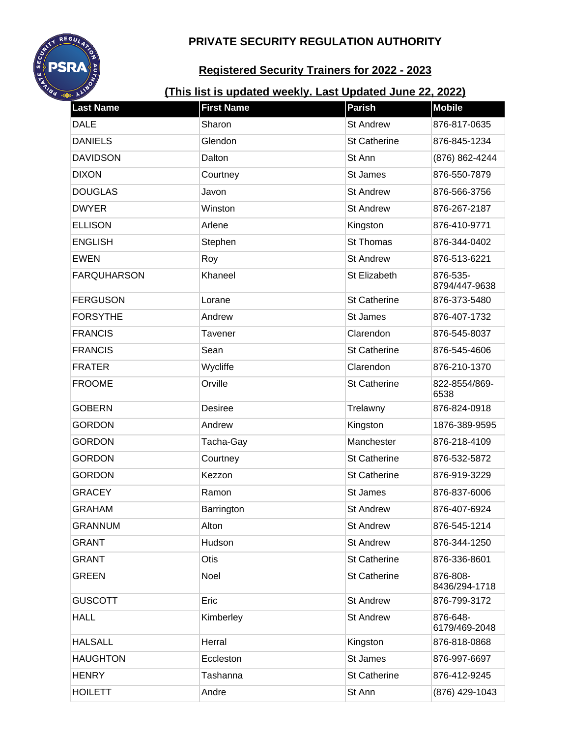

# **Registered Security Trainers for 2022 - 2023**

| <b>Last Name</b>   | <b>First Name</b> | <b>Parish</b>       | <b>Mobile</b>             |
|--------------------|-------------------|---------------------|---------------------------|
| <b>DALE</b>        | Sharon            | <b>St Andrew</b>    | 876-817-0635              |
| <b>DANIELS</b>     | Glendon           | <b>St Catherine</b> | 876-845-1234              |
| <b>DAVIDSON</b>    | Dalton            | St Ann              | (876) 862-4244            |
| <b>DIXON</b>       | Courtney          | St James            | 876-550-7879              |
| <b>DOUGLAS</b>     | Javon             | <b>St Andrew</b>    | 876-566-3756              |
| <b>DWYER</b>       | Winston           | <b>St Andrew</b>    | 876-267-2187              |
| <b>ELLISON</b>     | Arlene            | Kingston            | 876-410-9771              |
| <b>ENGLISH</b>     | Stephen           | <b>St Thomas</b>    | 876-344-0402              |
| <b>EWEN</b>        | Roy               | <b>St Andrew</b>    | 876-513-6221              |
| <b>FARQUHARSON</b> | Khaneel           | St Elizabeth        | 876-535-<br>8794/447-9638 |
| <b>FERGUSON</b>    | Lorane            | <b>St Catherine</b> | 876-373-5480              |
| <b>FORSYTHE</b>    | Andrew            | St James            | 876-407-1732              |
| <b>FRANCIS</b>     | Tavener           | Clarendon           | 876-545-8037              |
| <b>FRANCIS</b>     | Sean              | <b>St Catherine</b> | 876-545-4606              |
| <b>FRATER</b>      | Wycliffe          | Clarendon           | 876-210-1370              |
| <b>FROOME</b>      | Orville           | <b>St Catherine</b> | 822-8554/869-<br>6538     |
| <b>GOBERN</b>      | <b>Desiree</b>    | Trelawny            | 876-824-0918              |
| <b>GORDON</b>      | Andrew            | Kingston            | 1876-389-9595             |
| <b>GORDON</b>      | Tacha-Gay         | Manchester          | 876-218-4109              |
| <b>GORDON</b>      | Courtney          | <b>St Catherine</b> | 876-532-5872              |
| <b>GORDON</b>      | Kezzon            | <b>St Catherine</b> | 876-919-3229              |
| <b>GRACEY</b>      | Ramon             | St James            | 876-837-6006              |
| <b>GRAHAM</b>      | Barrington        | <b>St Andrew</b>    | 876-407-6924              |
| <b>GRANNUM</b>     | Alton             | <b>St Andrew</b>    | 876-545-1214              |
| <b>GRANT</b>       | Hudson            | <b>St Andrew</b>    | 876-344-1250              |
| <b>GRANT</b>       | Otis              | <b>St Catherine</b> | 876-336-8601              |
| <b>GREEN</b>       | Noel              | <b>St Catherine</b> | 876-808-<br>8436/294-1718 |
| <b>GUSCOTT</b>     | Eric              | <b>St Andrew</b>    | 876-799-3172              |
| <b>HALL</b>        | Kimberley         | <b>St Andrew</b>    | 876-648-<br>6179/469-2048 |
| <b>HALSALL</b>     | Herral            | Kingston            | 876-818-0868              |
| <b>HAUGHTON</b>    | Eccleston         | St James            | 876-997-6697              |
| <b>HENRY</b>       | Tashanna          | <b>St Catherine</b> | 876-412-9245              |
| <b>HOILETT</b>     | Andre             | St Ann              | (876) 429-1043            |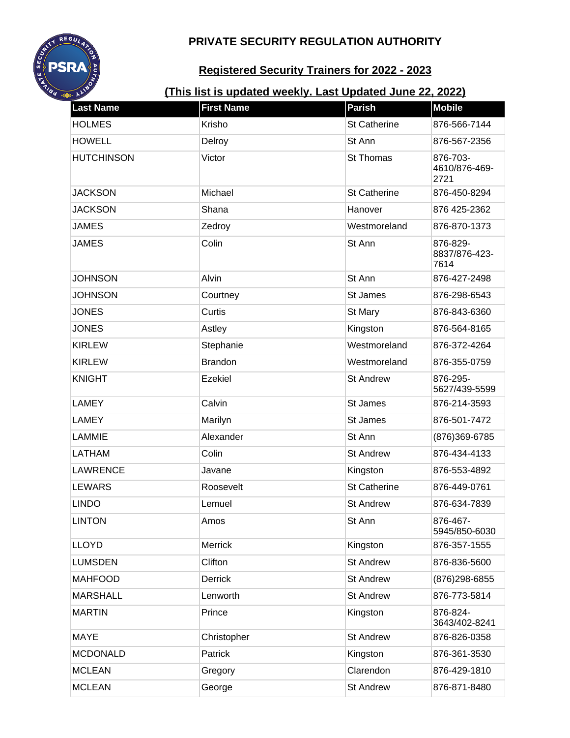

# **Registered Security Trainers for 2022 - 2023**

| <b>Last Name</b>  | <b>First Name</b> | <b>Parish</b>       | <b>Mobile</b>                     |
|-------------------|-------------------|---------------------|-----------------------------------|
| <b>HOLMES</b>     | Krisho            | St Catherine        | 876-566-7144                      |
| <b>HOWELL</b>     | Delroy            | St Ann              | 876-567-2356                      |
| <b>HUTCHINSON</b> | Victor            | St Thomas           | 876-703-<br>4610/876-469-<br>2721 |
| <b>JACKSON</b>    | Michael           | <b>St Catherine</b> | 876-450-8294                      |
| <b>JACKSON</b>    | Shana             | Hanover             | 876 425-2362                      |
| <b>JAMES</b>      | Zedroy            | Westmoreland        | 876-870-1373                      |
| <b>JAMES</b>      | Colin             | St Ann              | 876-829-<br>8837/876-423-<br>7614 |
| <b>JOHNSON</b>    | Alvin             | St Ann              | 876-427-2498                      |
| <b>JOHNSON</b>    | Courtney          | St James            | 876-298-6543                      |
| <b>JONES</b>      | Curtis            | St Mary             | 876-843-6360                      |
| <b>JONES</b>      | Astley            | Kingston            | 876-564-8165                      |
| <b>KIRLEW</b>     | Stephanie         | Westmoreland        | 876-372-4264                      |
| <b>KIRLEW</b>     | <b>Brandon</b>    | Westmoreland        | 876-355-0759                      |
| <b>KNIGHT</b>     | <b>Ezekiel</b>    | <b>St Andrew</b>    | 876-295-<br>5627/439-5599         |
| <b>LAMEY</b>      | Calvin            | St James            | 876-214-3593                      |
| <b>LAMEY</b>      | Marilyn           | St James            | 876-501-7472                      |
| LAMMIE            | Alexander         | St Ann              | (876)369-6785                     |
| LATHAM            | Colin             | <b>St Andrew</b>    | 876-434-4133                      |
| <b>LAWRENCE</b>   | Javane            | Kingston            | 876-553-4892                      |
| <b>LEWARS</b>     | Roosevelt         | <b>St Catherine</b> | 876-449-0761                      |
| <b>LINDO</b>      | Lemuel            | <b>St Andrew</b>    | 876-634-7839                      |
| <b>LINTON</b>     | Amos              | St Ann              | 876-467-<br>5945/850-6030         |
| <b>LLOYD</b>      | Merrick           | Kingston            | 876-357-1555                      |
| <b>LUMSDEN</b>    | Clifton           | <b>St Andrew</b>    | 876-836-5600                      |
| <b>MAHFOOD</b>    | Derrick           | <b>St Andrew</b>    | (876) 298-6855                    |
| <b>MARSHALL</b>   | Lenworth          | <b>St Andrew</b>    | 876-773-5814                      |
| <b>MARTIN</b>     | Prince            | Kingston            | 876-824-<br>3643/402-8241         |
| <b>MAYE</b>       | Christopher       | <b>St Andrew</b>    | 876-826-0358                      |
| <b>MCDONALD</b>   | Patrick           | Kingston            | 876-361-3530                      |
| <b>MCLEAN</b>     | Gregory           | Clarendon           | 876-429-1810                      |
| <b>MCLEAN</b>     | George            | <b>St Andrew</b>    | 876-871-8480                      |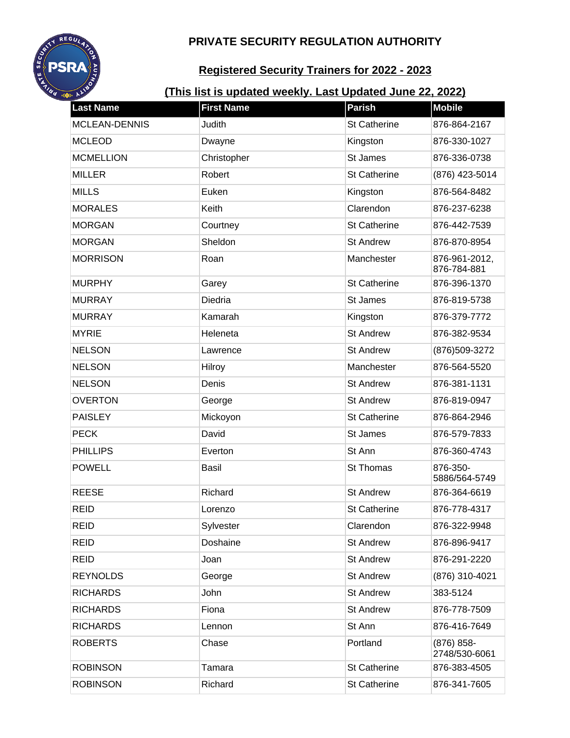

# **Registered Security Trainers for 2022 - 2023**

| <b>Last Name</b>     | <b>First Name</b> | <b>Parish</b>       | <b>Mobile</b>                  |
|----------------------|-------------------|---------------------|--------------------------------|
| <b>MCLEAN-DENNIS</b> | Judith            | <b>St Catherine</b> | 876-864-2167                   |
| <b>MCLEOD</b>        | Dwayne            | Kingston            | 876-330-1027                   |
| <b>MCMELLION</b>     | Christopher       | St James            | 876-336-0738                   |
| <b>MILLER</b>        | Robert            | St Catherine        | (876) 423-5014                 |
| <b>MILLS</b>         | Euken             | Kingston            | 876-564-8482                   |
| <b>MORALES</b>       | Keith             | Clarendon           | 876-237-6238                   |
| <b>MORGAN</b>        | Courtney          | <b>St Catherine</b> | 876-442-7539                   |
| <b>MORGAN</b>        | Sheldon           | <b>St Andrew</b>    | 876-870-8954                   |
| <b>MORRISON</b>      | Roan              | Manchester          | 876-961-2012,<br>876-784-881   |
| <b>MURPHY</b>        | Garey             | <b>St Catherine</b> | 876-396-1370                   |
| <b>MURRAY</b>        | Diedria           | St James            | 876-819-5738                   |
| <b>MURRAY</b>        | Kamarah           | Kingston            | 876-379-7772                   |
| <b>MYRIE</b>         | Heleneta          | <b>St Andrew</b>    | 876-382-9534                   |
| <b>NELSON</b>        | Lawrence          | <b>St Andrew</b>    | (876)509-3272                  |
| <b>NELSON</b>        | Hilroy            | Manchester          | 876-564-5520                   |
| <b>NELSON</b>        | Denis             | <b>St Andrew</b>    | 876-381-1131                   |
| <b>OVERTON</b>       | George            | <b>St Andrew</b>    | 876-819-0947                   |
| <b>PAISLEY</b>       | Mickoyon          | <b>St Catherine</b> | 876-864-2946                   |
| <b>PECK</b>          | David             | St James            | 876-579-7833                   |
| <b>PHILLIPS</b>      | Everton           | St Ann              | 876-360-4743                   |
| <b>POWELL</b>        | <b>Basil</b>      | St Thomas           | 876-350-<br>5886/564-5749      |
| <b>REESE</b>         | Richard           | <b>St Andrew</b>    | 876-364-6619                   |
| <b>REID</b>          | Lorenzo           | <b>St Catherine</b> | 876-778-4317                   |
| <b>REID</b>          | Sylvester         | Clarendon           | 876-322-9948                   |
| <b>REID</b>          | Doshaine          | <b>St Andrew</b>    | 876-896-9417                   |
| <b>REID</b>          | Joan              | <b>St Andrew</b>    | 876-291-2220                   |
| <b>REYNOLDS</b>      | George            | <b>St Andrew</b>    | (876) 310-4021                 |
| <b>RICHARDS</b>      | John              | <b>St Andrew</b>    | 383-5124                       |
| <b>RICHARDS</b>      | Fiona             | <b>St Andrew</b>    | 876-778-7509                   |
| <b>RICHARDS</b>      | Lennon            | St Ann              | 876-416-7649                   |
| <b>ROBERTS</b>       | Chase             | Portland            | $(876) 858 -$<br>2748/530-6061 |
| <b>ROBINSON</b>      | Tamara            | St Catherine        | 876-383-4505                   |
| <b>ROBINSON</b>      | Richard           | St Catherine        | 876-341-7605                   |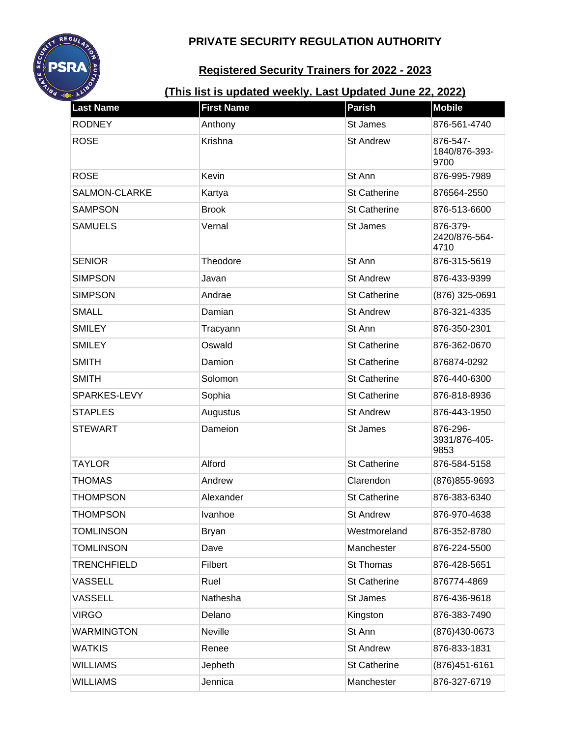

# **Registered Security Trainers for 2022 - 2023**

| <b>Last Name</b>   | <b>First Name</b> | <b>Parish</b>       | <b>Mobile</b>                     |
|--------------------|-------------------|---------------------|-----------------------------------|
| <b>RODNEY</b>      | Anthony           | St James            | 876-561-4740                      |
| <b>ROSE</b>        | Krishna           | <b>St Andrew</b>    | 876-547-<br>1840/876-393-<br>9700 |
| <b>ROSE</b>        | Kevin             | St Ann              | 876-995-7989                      |
| SALMON-CLARKE      | Kartya            | <b>St Catherine</b> | 876564-2550                       |
| <b>SAMPSON</b>     | <b>Brook</b>      | <b>St Catherine</b> | 876-513-6600                      |
| <b>SAMUELS</b>     | Vernal            | St James            | 876-379-<br>2420/876-564-<br>4710 |
| <b>SENIOR</b>      | Theodore          | St Ann              | 876-315-5619                      |
| <b>SIMPSON</b>     | Javan             | <b>St Andrew</b>    | 876-433-9399                      |
| <b>SIMPSON</b>     | Andrae            | <b>St Catherine</b> | (876) 325-0691                    |
| <b>SMALL</b>       | Damian            | <b>St Andrew</b>    | 876-321-4335                      |
| <b>SMILEY</b>      | Tracyann          | St Ann              | 876-350-2301                      |
| <b>SMILEY</b>      | Oswald            | <b>St Catherine</b> | 876-362-0670                      |
| <b>SMITH</b>       | Damion            | <b>St Catherine</b> | 876874-0292                       |
| <b>SMITH</b>       | Solomon           | <b>St Catherine</b> | 876-440-6300                      |
| SPARKES-LEVY       | Sophia            | <b>St Catherine</b> | 876-818-8936                      |
| <b>STAPLES</b>     | Augustus          | <b>St Andrew</b>    | 876-443-1950                      |
| <b>STEWART</b>     | Dameion           | St James            | 876-296-<br>3931/876-405-<br>9853 |
| <b>TAYLOR</b>      | Alford            | <b>St Catherine</b> | 876-584-5158                      |
| <b>THOMAS</b>      | Andrew            | Clarendon           | (876) 855-9693                    |
| <b>THOMPSON</b>    | Alexander         | <b>St Catherine</b> | 876-383-6340                      |
| THOMPSON           | Ivanhoe           | St Andrew           | 876-970-4638                      |
| <b>TOMLINSON</b>   | <b>Bryan</b>      | Westmoreland        | 876-352-8780                      |
| <b>TOMLINSON</b>   | Dave              | Manchester          | 876-224-5500                      |
| <b>TRENCHFIELD</b> | Filbert           | St Thomas           | 876-428-5651                      |
| <b>VASSELL</b>     | Ruel              | <b>St Catherine</b> | 876774-4869                       |
| <b>VASSELL</b>     | Nathesha          | St James            | 876-436-9618                      |
| <b>VIRGO</b>       | Delano            | Kingston            | 876-383-7490                      |
| <b>WARMINGTON</b>  | Neville           | St Ann              | (876)430-0673                     |
| <b>WATKIS</b>      | Renee             | <b>St Andrew</b>    | 876-833-1831                      |
| <b>WILLIAMS</b>    | Jepheth           | St Catherine        | (876) 451-6161                    |
| <b>WILLIAMS</b>    | Jennica           | Manchester          | 876-327-6719                      |